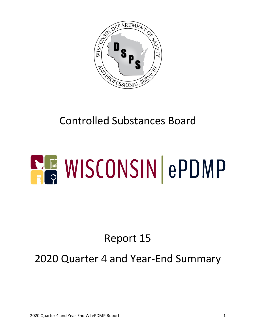

## Controlled Substances Board

# **ELE WISCONSIN ePDMP**

## Report 15

#### 2020 Quarter 4 and Year-End Summary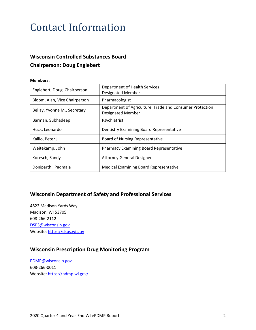#### Contact Information

#### **Wisconsin Controlled Substances Board Chairperson: Doug Englebert**

#### **Members:**

| Englebert, Doug, Chairperson  | Department of Health Services<br><b>Designated Member</b>                            |
|-------------------------------|--------------------------------------------------------------------------------------|
| Bloom, Alan, Vice Chairperson | Pharmacologist                                                                       |
| Bellay, Yvonne M., Secretary  | Department of Agriculture, Trade and Consumer Protection<br><b>Designated Member</b> |
| Barman, Subhadeep             | Psychiatrist                                                                         |
| Huck, Leonardo                | Dentistry Examining Board Representative                                             |
| Kallio, Peter J.              | Board of Nursing Representative                                                      |
| Weitekamp, John               | <b>Pharmacy Examining Board Representative</b>                                       |
| Koresch, Sandy                | <b>Attorney General Designee</b>                                                     |
| Doniparthi, Padmaja           | <b>Medical Examining Board Representative</b>                                        |

#### **Wisconsin Department of Safety and Professional Services**

4822 Madison Yards Way Madison, WI 53705 608-266-2112 [DSPS@wisconsin.gov](mailto:DSPS@wisconsin.gov) Website[: https://dsps.wi.gov](https://dsps.wi.gov/)

#### **Wisconsin Prescription Drug Monitoring Program**

[PDMP@wisconsin.gov](mailto:PDMP@wisconsin.gov) 608-266-0011 Website[: https://pdmp.wi.gov/](https://pdmp.wi.gov/)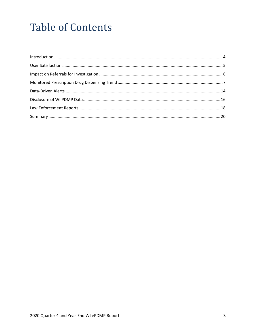### **Table of Contents**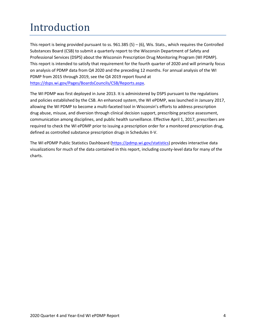## <span id="page-3-0"></span>Introduction

This report is being provided pursuant to ss.  $961.385(5) - (6)$ , Wis. Stats., which requires the Controlled Substances Board (CSB) to submit a quarterly report to the Wisconsin Department of Safety and Professional Services (DSPS) about the Wisconsin Prescription Drug Monitoring Program (WI PDMP). This report is intended to satisfy that requirement for the fourth quarter of 2020 and will primarily focus on analysis of PDMP data from Q4 2020 and the preceding 12 months. For annual analysis of the WI PDMP from 2015 through 2019, see the Q4 2019 report found at [https://dsps.wi.gov/Pages/BoardsCouncils/CSB/Reports.aspx.](https://dsps.wi.gov/Pages/BoardsCouncils/CSB/Reports.aspx)

The WI PDMP was first deployed in June 2013. It is administered by DSPS pursuant to the regulations and policies established by the CSB. An enhanced system, the WI ePDMP, was launched in January 2017, allowing the WI PDMP to become a multi-faceted tool in Wisconsin's efforts to address prescription drug abuse, misuse, and diversion through clinical decision support, prescribing practice assessment, communication among disciplines, and public health surveillance. Effective April 1, 2017, prescribers are required to check the WI ePDMP prior to issuing a prescription order for a monitored prescription drug, defined as controlled substance prescription drugs in Schedules II-V.

The WI ePDMP Public Statistics Dashboard [\(https://pdmp.wi.gov/statistics\)](https://pdmp.wi.gov/statistics) provides interactive data visualizations for much of the data contained in this report, including county-level data for many of the charts.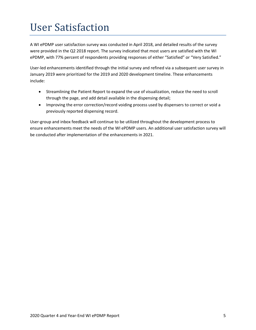## <span id="page-4-0"></span>User Satisfaction

A WI ePDMP user satisfaction survey was conducted in April 2018, and detailed results of the survey were provided in the Q2 2018 report. The survey indicated that most users are satisfied with the WI ePDMP, with 77% percent of respondents providing responses of either "Satisfied" or "Very Satisfied."

User-led enhancements identified through the initial survey and refined via a subsequent user survey in January 2019 were prioritized for the 2019 and 2020 development timeline. These enhancements include:

- Streamlining the Patient Report to expand the use of visualization, reduce the need to scroll through the page, and add detail available in the dispensing detail;
- Improving the error correction/record voiding process used by dispensers to correct or void a previously reported dispensing record.

User-group and inbox feedback will continue to be utilized throughout the development process to ensure enhancements meet the needs of the WI ePDMP users. An additional user satisfaction survey will be conducted after implementation of the enhancements in 2021.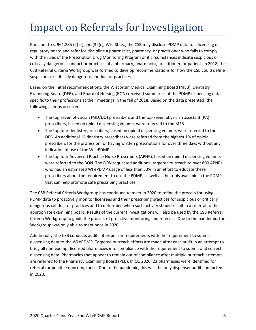## <span id="page-5-0"></span>Impact on Referrals for Investigation

Pursuant to s. 961.385 (2) (f) and (3) (c), Wis. Stats., the CSB may disclose PDMP data to a licensing or regulatory board and refer for discipline a pharmacist, pharmacy, or practitioner who fails to comply with the rules of the Prescription Drug Monitoring Program or if circumstances indicate suspicious or critically dangerous conduct or practices of a pharmacy, pharmacist, practitioner, or patient. In 2018, the CSB Referral Criteria Workgroup was formed to develop recommendations for how the CSB could define suspicious or critically dangerous conduct or practices.

Based on the initial recommendations, the Wisconsin Medical Examining Board (MEB), Dentistry Examining Board (DEB), and Board of Nursing (BON) received summaries of the PDMP dispensing data specific to their professions at their meetings in the fall of 2018. Based on the data presented, the following actions occurred:

- The top seven physician (MD/DO) prescribers and the top seven physician assistant (PA) prescribers, based on opioid dispensing volume, were referred to the MEB.
- The top four dentistry prescribers, based on opioid dispensing volume, were referred to the DEB. An additional 12 dentistry prescribers were referred from the highest 1% of opioid prescribers for the profession for having written prescriptions for over three days without any indication of use of the WI ePDMP.
- The top four Advanced Practice Nurse Prescribers (APNP), based on opioid dispensing volume, were referred to the BON. The BON requested additional targeted outreach to over 800 APNPs who had an estimated WI ePDMP usage of less than 50% in an effort to educate these prescribers about the requirement to use the PDMP, as well as the tools available in the PDMP that can help promote safe prescribing practices.

The CSB Referral Criteria Workgroup has continued to meet in 2020 to refine the process for using PDMP data to proactively monitor licensees and their prescribing practices for suspicious or critically dangerous conduct or practices and to determine when such activity should result in a referral to the appropriate examining board. Results of the current investigations will also be used by the CSB Referral Criteria Workgroup to guide the process of proactive monitoring and referrals. Due to the pandemic, the Workgroup was only able to meet once in 2020.

Additionally, the CSB conducts audits of dispenser requirements with the requirement to submit dispensing data to the WI ePDMP. Targeted outreach efforts are made after each audit in an attempt to bring all non-exempt licensed pharmacies into compliance with the requirement to submit and correct dispensing data. Pharmacies that appear to remain out of compliance after multiple outreach attempts are referred to the Pharmacy Examining Board (PEB). In Q1 2020, 23 pharmacies were identified for referral for possible noncompliance. Due to the pandemic, this was the only dispenser audit conducted in 2020.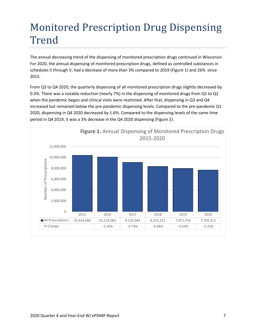## <span id="page-6-0"></span>Monitored Prescription Drug Dispensing Trend

The annual decreasing trend of the dispensing of monitored prescription drugs continued in Wisconsin. For 2020, the annual dispensing of monitored prescription drugs, defined as controlled substances in schedules II through V, had a decrease of more than 3% compared to 2019 (Figure 1) and 26% since 2015.

From Q3 to Q4 2020, the quarterly dispensing of all monitored prescription drugs slightly decreased by 0.3%. There was a notable reduction (nearly 7%) in the dispensing of monitored drugs from Q1 to Q2 when the pandemic began and clinical visits were restricted. After that, dispensing in Q3 and Q4 increased but remained below the pre-pandemic dispensing levels. Compared to the pre-pandemic Q1 2020, dispensing in Q4 2020 decreased by 1.6%. Compared to the dispensing levels of the same time period in Q4 2019, it was a 3% decrease in the Q4 2020 dispensing (Figure 2).

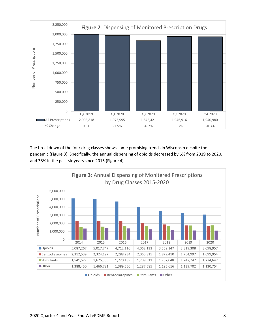

The breakdown of the four drug classes shows some promising trends in Wisconsin despite the pandemic (Figure 3). Specifically, the annual dispensing of opioids decreased by 6% from 2019 to 2020, and 38% in the past six years since 2015 (Figure 4).

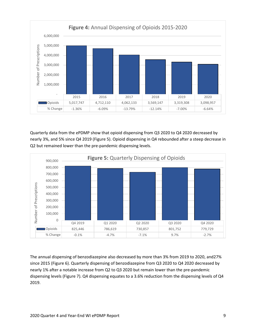

Quarterly data from the ePDMP show that opioid dispensing from Q3 2020 to Q4 2020 decreased by nearly 3%, and 5% since Q4 2019 (Figure 5). Opioid dispensing in Q4 rebounded after a steep decrease in Q2 but remained lower than the pre-pandemic dispensing levels.



The annual dispensing of benzodiazepine also decreased by more than 3% from 2019 to 2020, and27% since 2015 (Figure 6). Quarterly dispensing of benzodiazepine from Q3 2020 to Q4 2020 decreased by nearly 1% after a notable increase from Q2 to Q3 2020 but remain lower than the pre-pandemic dispensing levels (Figure 7). Q4 dispensing equates to a 3.6% reduction from the dispensing levels of Q4 2019.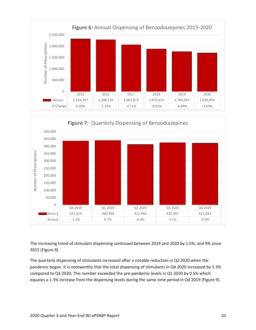



The increasing trend of stimulant dispensing continued between 2019 and 2020 by 1.5%, and 9% since 2015 (Figure 8).

The quarterly dispensing of stimulants increased after a notable reduction in Q2 2020 when the pandemic began. It is noteworthy that the total dispensing of stimulants in Q4 2020 increased by 5.3% compared to Q3 2020; This number exceeded the pre-pandemic levels in Q1 2020 by 0.5% which equates a 1.3% increase from the dispensing levels during the same time period in Q4 2019 (Figure 9).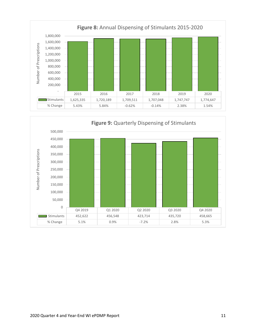

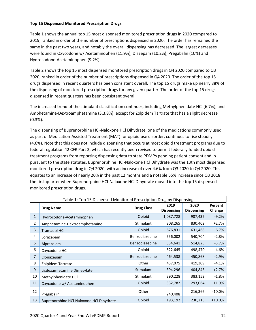#### **Top 15 Dispensed Monitored Prescription Drugs**

Table 1 shows the annual top 15 most dispensed monitored prescription drugs in 2020 compared to 2019, ranked in order of the number of prescriptions dispensed in 2020. The order has remained the same in the past two years, and notably the overall dispensing has decreased. The largest decreases were found in Oxycodone w/ Acetaminophen (11.9%), Diazepam (10.2%), Pregabalin (10%) and Hydrocodone-Acetaminophen (9.2%).

Table 2 shows the top 15 most dispensed monitored prescription drugs in Q4 2020 compared to Q3 2020, ranked in order of the number of prescriptions dispensed in Q4 2020. The order of the top 15 drugs dispensed in recent quarters has been consistent overall. The top 15 drugs make up nearly 88% of the dispensing of monitored prescription drugs for any given quarter. The order of the top 15 drugs dispensed in recent quarters has been consistent overall.

The increased trend of the stimulant classification continues, including Methylphenidate HCl (6.7%), and Amphetamine-Dextroamphetamine (3.3.8%), except for Zolpidem Tartrate that has a slight decrease (0.3%).

The dispensing of Buprenorphine HCl-Naloxone HCl Dihydrate, one of the medications commonly used as part of Medication-Assisted Treatment (MAT) for opioid use disorder, continues to rise steadily (4.6%). Note that this does not include dispensing that occurs at most opioid treatment programs due to federal regulation 42 CFR Part 2, which has recently been revised to permit federally funded opioid treatment programs from reporting dispensing data to state PDMPs pending patient consent and in pursuant to the state statutes. Buprenorphine HCl-Naloxone HCl Dihydrate was the 13th most dispensed monitored prescription drug in Q4 2020, with an increase of over 4.6% from Q3 2020 to Q4 2020. This equates to an increase of nearly 20% in the past 12 months and a notable 55% increase since Q3 2018, the first quarter when Buprenorphine HCl-Naloxone HCl Dihydrate moved into the top 15 dispensed monitored prescription drugs.

| Table 1: Top 15 Dispensed Monitored Prescription Drug by Dispensing |                                          |                |                   |                   |           |
|---------------------------------------------------------------------|------------------------------------------|----------------|-------------------|-------------------|-----------|
| <b>Drug Name</b>                                                    | <b>Drug Class</b>                        | 2019           | 2020              | Percent           |           |
|                                                                     |                                          |                | <b>Dispensing</b> | <b>Dispensing</b> | Change    |
| 1                                                                   | Hydrocodone-Acetaminophen                | Opioid         | 1,087,728         | 987,437           | $-9.2%$   |
| 2                                                                   | Amphetamine-Dextroamphetamine            | Stimulant      | 808,265           | 830,402           | $+2.7%$   |
| 3                                                                   | <b>Tramadol HCI</b>                      | Opioid         | 676,831           | 631,468           | $-6.7%$   |
| 4                                                                   | Lorazepam                                | Benzodiazepine | 556,002           | 540,704           | $-2.8%$   |
| 5                                                                   | Alprazolam                               | Benzodiazepine | 534,641           | 514,823           | $-3.7%$   |
| 6                                                                   | Oxycodone HCl                            | Opioid         | 522,645           | 498,470           | -4.6%     |
| 7                                                                   | Clonazepam                               | Benzodiazepine | 464,538           | 450,868           | $-2.9%$   |
| 8                                                                   | Zolpidem Tartrate                        | Other          | 437,075           | 419,309           | $-4.1%$   |
| 9                                                                   | Lisdexamfetamine Dimesylate              | Stimulant      | 394,296           | 404,843           | $+2.7%$   |
| 10                                                                  | Methylphenidate HCl                      | Stimulant      | 390,228           | 383,152           | $-1.8%$   |
| 11                                                                  | Oxycodone w/ Acetaminophen               | Opioid         | 332,782           | 293,064           | $-11.9%$  |
| 12                                                                  | Pregabalin                               | Other          | 240,408           | 216,366           | $-10.0\%$ |
| 13                                                                  | Buprenorphine HCI-Naloxone HCI Dihydrate | Opioid         | 193,192           | 230,213           | $+10.0%$  |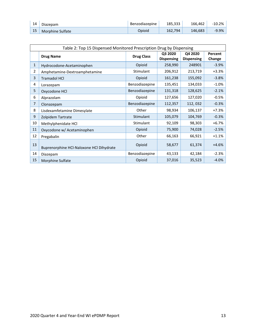| 14 | Diazepam         | Benzodiazepine | 185,333 | 166,462 | -10.2%   |
|----|------------------|----------------|---------|---------|----------|
| 15 | Morphine Sulfate | Opioid         | 162.794 | 146.683 | $-9.9\%$ |

| Table 2: Top 15 Dispensed Monitored Prescription Drug by Dispensing |                                          |                   |                              |                              |                   |  |
|---------------------------------------------------------------------|------------------------------------------|-------------------|------------------------------|------------------------------|-------------------|--|
|                                                                     | <b>Drug Name</b>                         | <b>Drug Class</b> | Q3 2020<br><b>Dispensing</b> | Q4 2020<br><b>Dispensing</b> | Percent<br>Change |  |
| 1                                                                   | Hydrocodone-Acetaminophen                | Opioid            | 258,990                      | 248901                       | $-3.9%$           |  |
| 2                                                                   | Amphetamine-Dextroamphetamine            | Stimulant         | 206,912                      | 213,719                      | $+3.3%$           |  |
| 3                                                                   | <b>Tramadol HCI</b>                      | Opioid            | 161,238                      | 155,092                      | $-3.8%$           |  |
| 4                                                                   | Lorazepam                                | Benzodiazepine    | 135,451                      | 134,033                      | $-1.0%$           |  |
| 5                                                                   | Oxycodone HCl                            | Benzodiazepine    | 131,318                      | 128,625                      | $-2.1%$           |  |
| 6                                                                   | Alprazolam                               | Opioid            | 127,656                      | 127,020                      | $-0.5%$           |  |
| 7                                                                   | Clonazepam                               | Benzodiazepine    | 112,357                      | 112,032                      | $-0.3%$           |  |
| 8                                                                   | Lisdexamfetamine Dimesylate              | Other             | 98,934                       | 106,137                      | $+7.3%$           |  |
| 9                                                                   | Zolpidem Tartrate                        | Stimulant         | 105,079                      | 104,769                      | $-0.3%$           |  |
| 10                                                                  | Methylphenidate HCl                      | Stimulant         | 92,109                       | 98,303                       | $+6.7%$           |  |
| 11                                                                  | Oxycodone w/ Acetaminophen               | Opioid            | 75,900                       | 74,028                       | $-2.5%$           |  |
| 12                                                                  | Pregabalin                               | Other             | 66,163                       | 66,921                       | $+1.1%$           |  |
| 13                                                                  | Buprenorphine HCl-Naloxone HCl Dihydrate | Opioid            | 58,677                       | 61,374                       | $+4.6%$           |  |
| 14                                                                  | Diazepam                                 | Benzodiazepine    | 43,133                       | 42,184                       | $-2.3%$           |  |
| 15                                                                  | Morphine Sulfate                         | Opioid            | 37,016                       | 35,523                       | $-4.0%$           |  |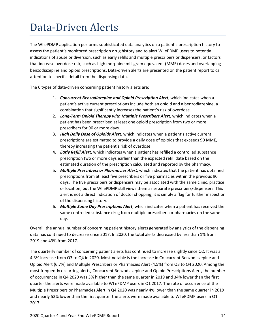## <span id="page-13-0"></span>Data-Driven Alerts

The WI ePDMP application performs sophisticated data analytics on a patient's prescription history to assess the patient's monitored prescription drug history and to alert WI ePDMP users to potential indications of abuse or diversion, such as early refills and multiple prescribers or dispensers, or factors that increase overdose risk, such as high morphine milligram equivalent (MME) doses and overlapping benzodiazepine and opioid prescriptions. Data-driven alerts are presented on the patient report to call attention to specific detail from the dispensing data.

The 6 types of data-driven concerning patient history alerts are:

- 1. *Concurrent Benzodiazepine and Opioid Prescription Alert*, which indicates when a patient's active current prescriptions include both an opioid and a benzodiazepine, a combination that significantly increases the patient's risk of overdose.
- 2. *Long-Term Opioid Therapy with Multiple Prescribers Alert*, which indicates when a patient has been prescribed at least one opioid prescription from two or more prescribers for 90 or more days.
- 3. *High Daily Dose of Opioids Alert*, which indicates when a patient's active current prescriptions are estimated to provide a daily dose of opioids that exceeds 90 MME, thereby increasing the patient's risk of overdose.
- 4. *Early Refill Alert*, which indicates when a patient has refilled a controlled substance prescription two or more days earlier than the expected refill date based on the estimated duration of the prescription calculated and reported by the pharmacy.
- 5. *Multiple Prescribers or Pharmacies Alert*, which indicates that the patient has obtained prescriptions from at least five prescribers or five pharmacies within the previous 90 days. The five prescribers or dispensers may be associated with the same clinic, practice or location, but the WI ePDMP still views them as separate prescribers/dispensers. This alert is not a direct indication of doctor shopping; it is simply a flag for further inspection of the dispensing history.
- 6. *Multiple Same Day Prescriptions Alert*, which indicates when a patient has received the same controlled substance drug from multiple prescribers or pharmacies on the same day.

Overall, the annual number of concerning patient history alerts generated by analytics of the dispensing data has continued to decrease since 2017. In 2020, the total alerts decreased by less than 1% from 2019 and 43% from 2017.

The quarterly number of concerning patient alerts has continued to increase slightly since Q2. It was a 4.3% increase from Q3 to Q4 in 2020. Most notable is the increase in Concurrent Benzodiazepine and Opioid Alert (6.7%) and Multiple Prescribers or Pharmacies Alert (4.5%) from Q3 to Q4 2020. Among the most frequently occurring alerts, Concurrent Benzodiazepine and Opioid Prescriptions Alert, the number of occurrences in Q4 2020 was 3% higher than the same quarter in 2019 and 34% lower than the first quarter the alerts were made available to WI ePDMP users in Q1 2017. The rate of occurrence of the Multiple Prescribers or Pharmacies Alert in Q4 2020 was nearly 4% lower than the same quarter in 2019 and nearly 52% lower than the first quarter the alerts were made available to WI ePDMP users in Q1 2017.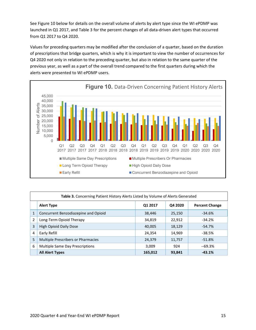See Figure 10 below for details on the overall volume of alerts by alert type since the WI ePDMP was launched in Q1 2017, and Table 3 for the percent changes of all data-driven alert types that occurred from Q1 2017 to Q4 2020.

Values for preceding quarters may be modified after the conclusion of a quarter, based on the duration of prescriptions that bridge quarters, which is why it is important to view the number of occurrences for Q4 2020 not only in relation to the preceding quarter, but also in relation to the same quarter of the previous year, as well as a part of the overall trend compared to the first quarters during which the alerts were presented to WI ePDMP users.



| Table 3. Concerning Patient History Alerts Listed by Volume of Alerts Generated |                                      |         |         |                       |  |
|---------------------------------------------------------------------------------|--------------------------------------|---------|---------|-----------------------|--|
|                                                                                 | <b>Alert Type</b>                    | Q1 2017 | Q4 2020 | <b>Percent Change</b> |  |
| $\overline{1}$                                                                  | Concurrent Benzodiazepine and Opioid | 38,446  | 25,150  | $-34.6%$              |  |
| $\overline{2}$                                                                  | Long-Term Opioid Therapy             | 34,819  | 22,912  | $-34.2%$              |  |
| 3                                                                               | <b>High Opioid Daily Dose</b>        | 40,005  | 18,129  | $-54.7%$              |  |
| 4                                                                               | Early Refill                         | 24,354  | 14,969  | $-38.5%$              |  |
| 5                                                                               | Multiple Prescribers or Pharmacies   | 24,379  | 11,757  | $-51.8%$              |  |
| 6                                                                               | Multiple Same Day Prescriptions      | 3,009   | 924     | $-69.3%$              |  |
|                                                                                 | <b>All Alert Types</b>               | 165,012 | 93,841  | $-43.1%$              |  |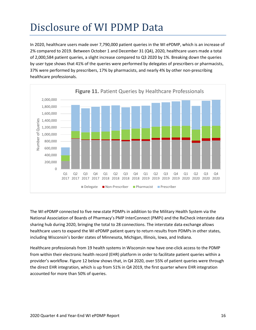## <span id="page-15-0"></span>Disclosure of WI PDMP Data

In 2020, healthcare users made over 7,790,000 patient queries in the WI ePDMP, which is an increase of 2% compared to 2019. Between October 1 and December 31 (Q4), 2020, healthcare users made a total of 2,000,584 patient queries, a slight increase compared to Q3 2020 by 1%. Breaking down the queries by user type shows that 41% of the queries were performed by delegates of prescribers or pharmacists, 37% were performed by prescribers, 17% by pharmacists, and nearly 4% by other non-prescribing healthcare professionals.



The WI ePDMP connected to five new state PDMPs in addition to the Military Health System via the National Association of Boards of Pharmacy's PMP InterConnect (PMPi) and the RxCheck interstate data sharing hub during 2020, bringing the total to 28 connections. The interstate data exchange allows healthcare users to expand the WI ePDMP patient query to return results from PDMPs in other states, including Wisconsin's border states of Minnesota, Michigan, Illinois, Iowa, and Indiana.

Healthcare professionals from 19 health systems in Wisconsin now have one-click access to the PDMP from within their electronic health record (EHR) platform in order to facilitate patient queries within a provider's workflow. Figure 12 below shows that, in Q4 2020, over 55% of patient queries were through the direct EHR integration, which is up from 51% in Q4 2019, the first quarter where EHR integration accounted for more than 50% of queries.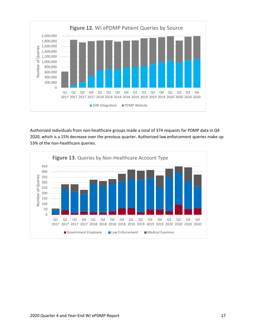

Authorized individuals from non-healthcare groups made a total of 374 requests for PDMP data in Q4 2020, which is a 15% decrease over the previous quarter. Authorized law enforcement queries make up 53% of the non-healthcare queries.

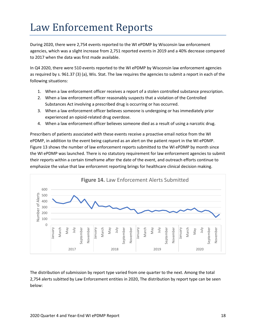#### <span id="page-17-0"></span>Law Enforcement Reports

During 2020, there were 2,754 events reported to the WI ePDMP by Wisconsin law enforcement agencies, which was a slight increase from 2,751 reported events in 2019 and a 40% decrease compared to 2017 when the data was first made available.

In Q4 2020, there were 510 events reported to the WI ePDMP by Wisconsin law enforcement agencies as required by s. [961.37 \(3\) \(a\),](https://docs.legis.wisconsin.gov/document/statutes/961.37(3)(a)) Wis. Stat. The law requires the agencies to submit a report in each of the following situations:

- 1. When a law enforcement officer receives a report of a stolen controlled substance prescription.
- 2. When a law enforcement officer reasonably suspects that a violation of the Controlled Substances Act involving a prescribed drug is occurring or has occurred.
- 3. When a law enforcement officer believes someone is undergoing or has immediately prior experienced an opioid-related drug overdose.
- 4. When a law enforcement officer believes someone died as a result of using a narcotic drug.

Prescribers of patients associated with these events receive a proactive email notice from the WI ePDMP, in addition to the event being captured as an alert on the patient report in the WI ePDMP. Figure 13 shows the number of law enforcement reports submitted to the WI ePDMP by month since the WI ePDMP was launched. There is no statutory requirement for law enforcement agencies to submit their reports within a certain timeframe after the date of the event, and outreach efforts continue to emphasize the value that law enforcemnt reporting brings for healthcare clinical decision making.



The distribution of submission by report type varied from one quarter to the next. Among the total 2,754 alerts subitted by Law Enforcement entities in 2020, The distribution by report type can be seen below: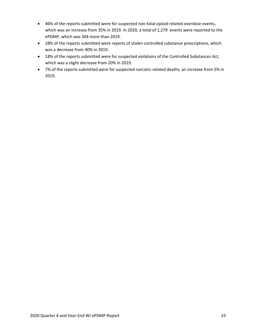- 46% of the reports submitted were for suspected non-fatal opioid-related overdose events, which was an increase from 35% in 2019. In 2020, a total of 1,279 events were reported to the ePDMP, which was 304 more than 2019.
- 28% of the reports submitted were reports of stolen controlled substance prescriptions, which was a decrease from 40% in 2019.
- 18% of the reports submitted were for suspected violations of the Controlled Substances Act, which was a slight decrease from 20% in 2019.
- 7% of the reports submitted were for suspected narcotic-related deaths, an increase from 5% in 2019.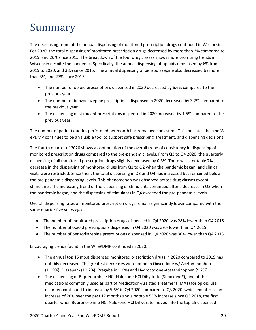# <span id="page-19-0"></span>Summary

The decreasing trend of the annual dispensing of monitored prescription drugs continued in Wisconsin. For 2020, the total dispensing of monitored prescription drugs decreased by more than 3% compared to 2019, and 26% since 2015. The breakdown of the four drug classes shows more promising trends in Wisconsin despite the pandemic. Specifically, the annual dispensing of opioids decreased by 6% from 2019 to 2020, and 38% since 2015. The annual dispensing of benzodiazepine also decreased by more than 3%, and 27% since 2015.

- The number of opioid prescriptions dispensed in 2020 decreased by 6.6% compared to the previous year.
- The number of benzodiazepine prescriptions dispensed in 2020 decreased by 3.7% compared to the previous year.
- The dispensing of stimulant prescriptions dispensed in 2020 increased by 1.5% compared to the previous year.

The number of patient queries performed per month has remained consistent. This indicates that the WI ePDMP continues to be a valuable tool to support safe prescribing, treatment, and dispensing decisions.

The fourth quarter of 2020 shows a continuation of the overall trend of consistency in dispensing of monitored prescription drugs compared to the pre-pandemic levels. From Q3 to Q4 2020, the quarterly dispensing of all monitored prescription drugs slightly decreased by 0.3%. There was a notable 7% decrease in the dispensing of monitored drugs from Q1 to Q2 when the pandemic began, and clinical visits were restricted. Since then, the total dispensing in Q3 and Q4 has increased but remained below the pre-pandemic dispensing levels. This phenomenon was observed across drug classes except stimulants. The increasing trend of the dispensing of stimulants continued after a decrease in Q2 when the pandemic began, and the dispensing of stimulants in Q4 exceeded the pre-pandemic levels.

Overall dispensing rates of monitored prescription drugs remain significantly lower compared with the same quarter five years ago.

- The number of monitored prescription drugs dispensed in Q4 2020 was 28% lower than Q4 2015.
- The number of opioid prescriptions dispensed in Q4 2020 was 39% lower than Q4 2015.
- The number of benzodiazepine prescriptions dispensed in Q4 2020 was 30% lower than Q4 2015.

Encouraging trends found in the WI ePDMP continued in 2020:

- The annual top 15 most dispensed monitored prescription drugs in 2020 compared to 2019 has notably decreased. The greatest decreases were found in Oxycodone w/ Acetaminophen (11.9%), Diazepam (10.2%), Pregabalin (10%) and Hydrocodone-Acetaminophen (9.2%).
- The dispensing of Buprenorphine HCl-Naloxone HCl Dihydrate (Suboxone®), one of the medications commonly used as part of Medication-Assisted Treatment (MAT) for opioid use disorder, continued to increase by 5.6% in Q4 2020 compared to Q3 2020, which equates to an increase of 20% over the past 12 months and a notable 55% increase since Q3 2018, the first quarter when Buprenorphine HCl-Naloxone HCl Dihydrate moved into the top 15 dispensed